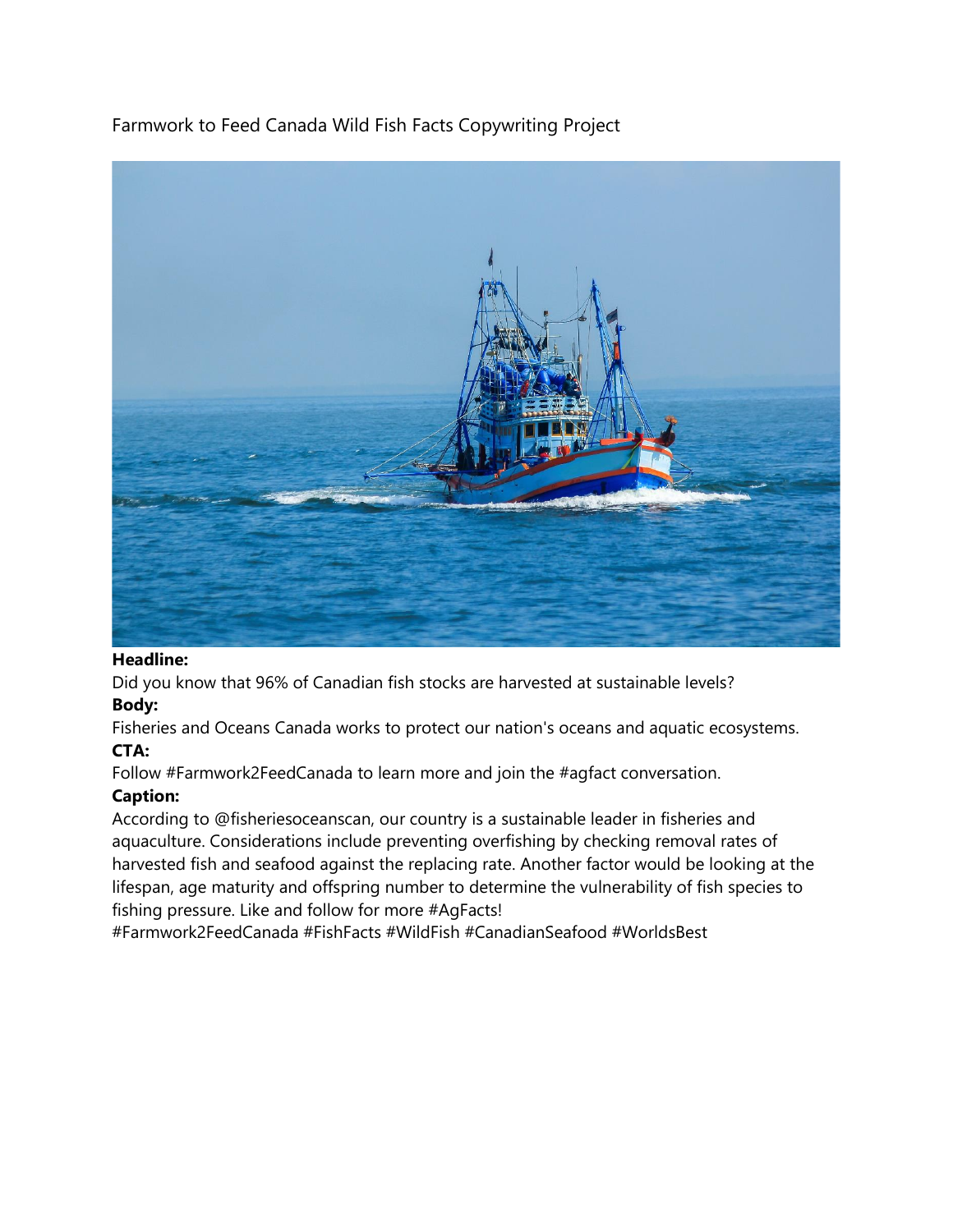# Farmwork to Feed Canada Wild Fish Facts Copywriting Project



#### **Headline:**

Did you know that 96% of Canadian fish stocks are harvested at sustainable levels?

### **Body:**

Fisheries and Oceans Canada works to protect our nation's oceans and aquatic ecosystems. **CTA:**

Follow #Farmwork2FeedCanada to learn more and join the #agfact conversation.

### **Caption:**

According to @fisheriesoceanscan, our country is a sustainable leader in fisheries and aquaculture. Considerations include preventing overfishing by checking removal rates of harvested fish and seafood against the replacing rate. Another factor would be looking at the lifespan, age maturity and offspring number to determine the vulnerability of fish species to fishing pressure. Like and follow for more #AgFacts!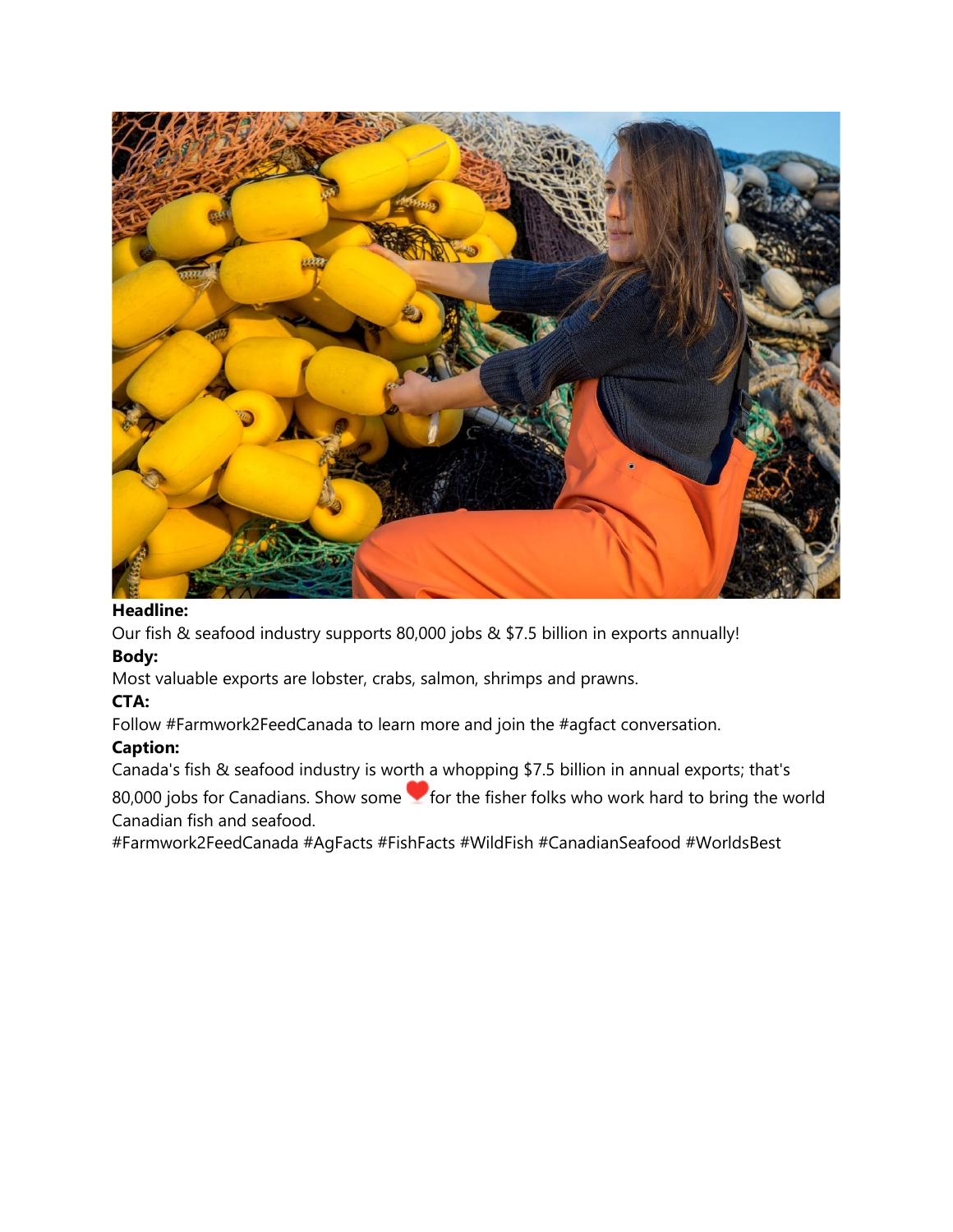

Our fish & seafood industry supports 80,000 jobs & \$7.5 billion in exports annually!

### **Body:**

Most valuable exports are lobster, crabs, salmon, shrimps and prawns.

### **CTA:**

Follow #Farmwork2FeedCanada to learn more and join the #agfact conversation.

### **Caption:**

Canada's fish & seafood industry is worth a whopping \$7.5 billion in annual exports; that's

80,000 jobs for Canadians. Show some  $\blacktriangledown$  for the fisher folks who work hard to bring the world Canadian fish and seafood.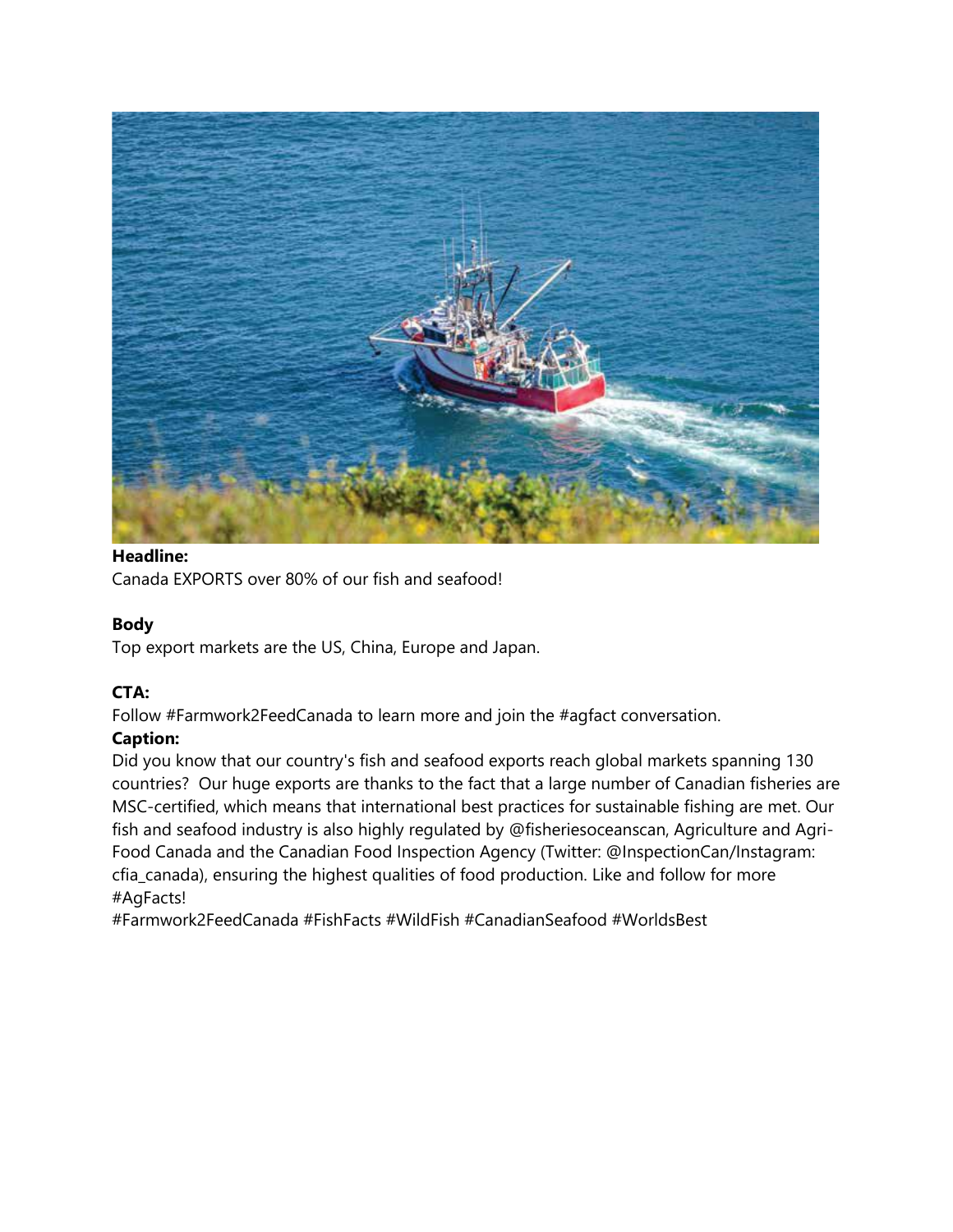

Canada EXPORTS over 80% of our fish and seafood!

## **Body**

Top export markets are the US, China, Europe and Japan.

## **CTA:**

Follow #Farmwork2FeedCanada to learn more and join the #agfact conversation.

## **Caption:**

Did you know that our country's fish and seafood exports reach global markets spanning 130 countries? Our huge exports are thanks to the fact that a large number of Canadian fisheries are MSC-certified, which means that international best practices for sustainable fishing are met. Our fish and seafood industry is also highly regulated by @fisheriesoceanscan, Agriculture and Agri-Food Canada and the Canadian Food Inspection Agency (Twitter: @InspectionCan/Instagram: cfia\_canada), ensuring the highest qualities of food production. Like and follow for more #AgFacts!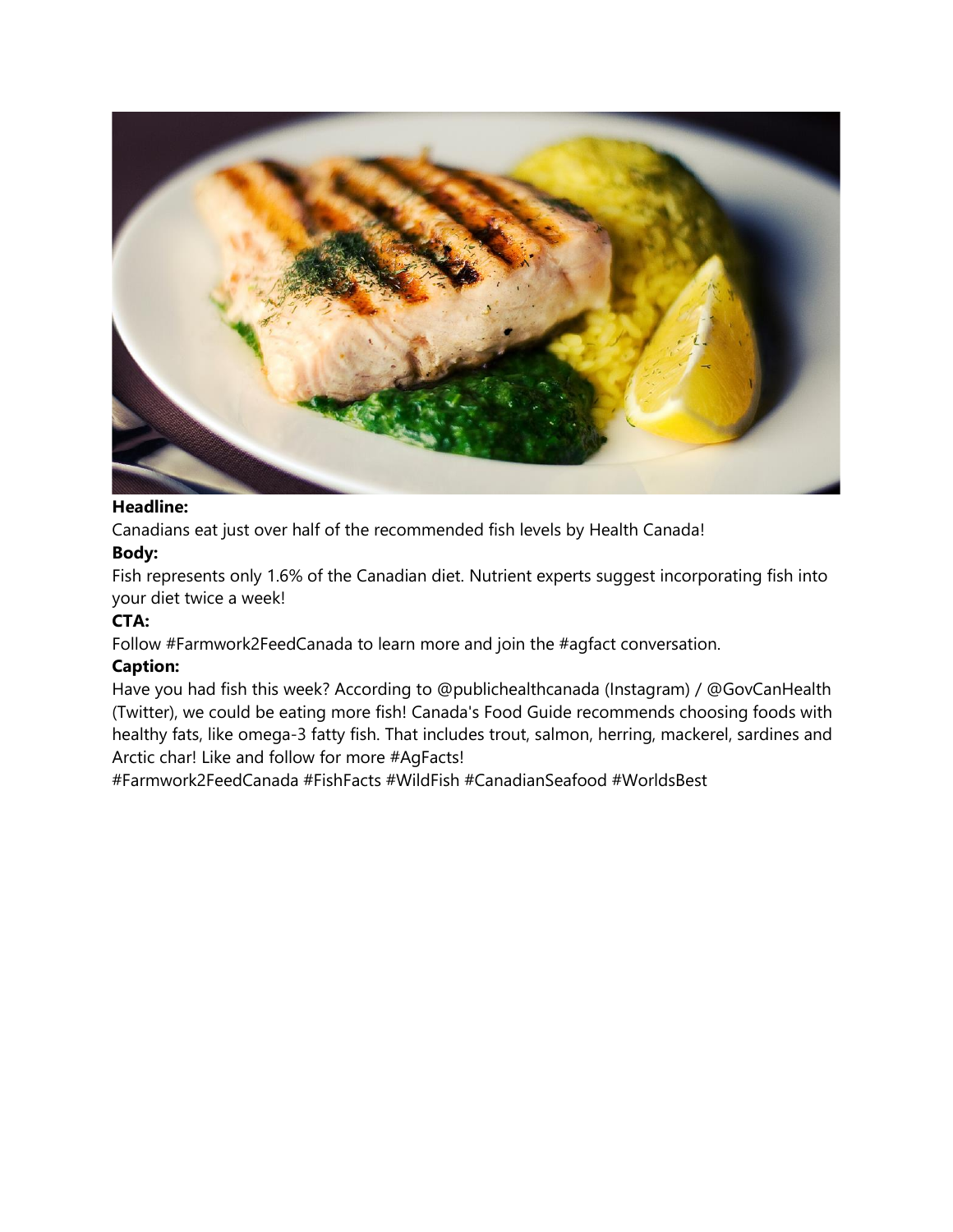

Canadians eat just over half of the recommended fish levels by Health Canada!

### **Body:**

Fish represents only 1.6% of the Canadian diet. Nutrient experts suggest incorporating fish into your diet twice a week!

### **CTA:**

Follow #Farmwork2FeedCanada to learn more and join the #agfact conversation.

#### **Caption:**

Have you had fish this week? According to @publichealthcanada (Instagram) / @GovCanHealth (Twitter), we could be eating more fish! Canada's Food Guide recommends choosing foods with healthy fats, like omega-3 fatty fish. That includes trout, salmon, herring, mackerel, sardines and Arctic char! Like and follow for more #AgFacts!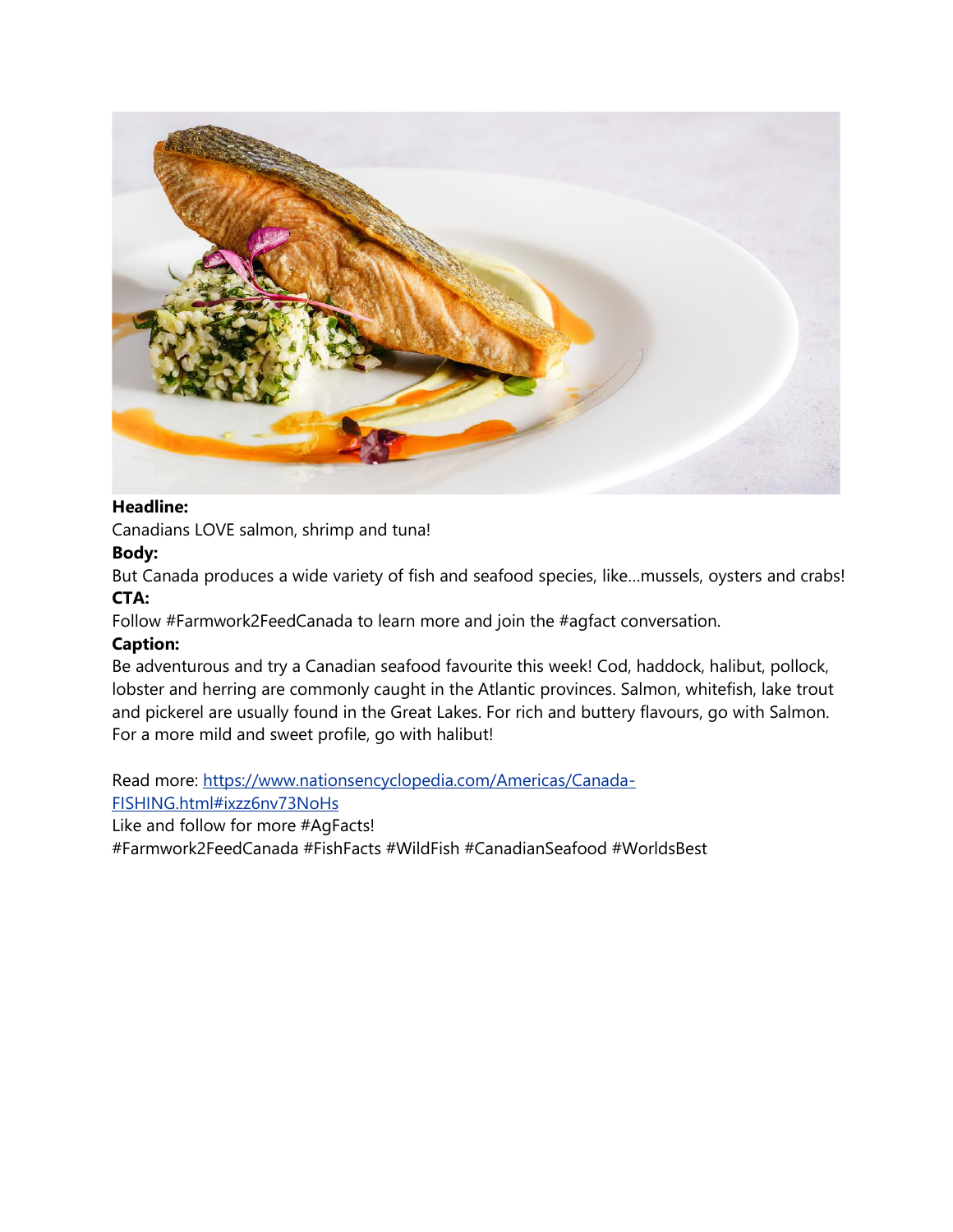

Canadians LOVE salmon, shrimp and tuna!

#### **Body:**

But Canada produces a wide variety of fish and seafood species, like…mussels, oysters and crabs! **CTA:**

Follow #Farmwork2FeedCanada to learn more and join the #agfact conversation.

#### **Caption:**

Be adventurous and try a Canadian seafood favourite this week! Cod, haddock, halibut, pollock, lobster and herring are commonly caught in the Atlantic provinces. Salmon, whitefish, lake trout and pickerel are usually found in the Great Lakes. For rich and buttery flavours, go with Salmon. For a more mild and sweet profile, go with halibut!

Read more: [https://www.nationsencyclopedia.com/Americas/Canada-](about:blank#ixzz6nv73NoHs)[FISHING.html#ixzz6nv73NoHs](about:blank#ixzz6nv73NoHs)

Like and follow for more #AgFacts!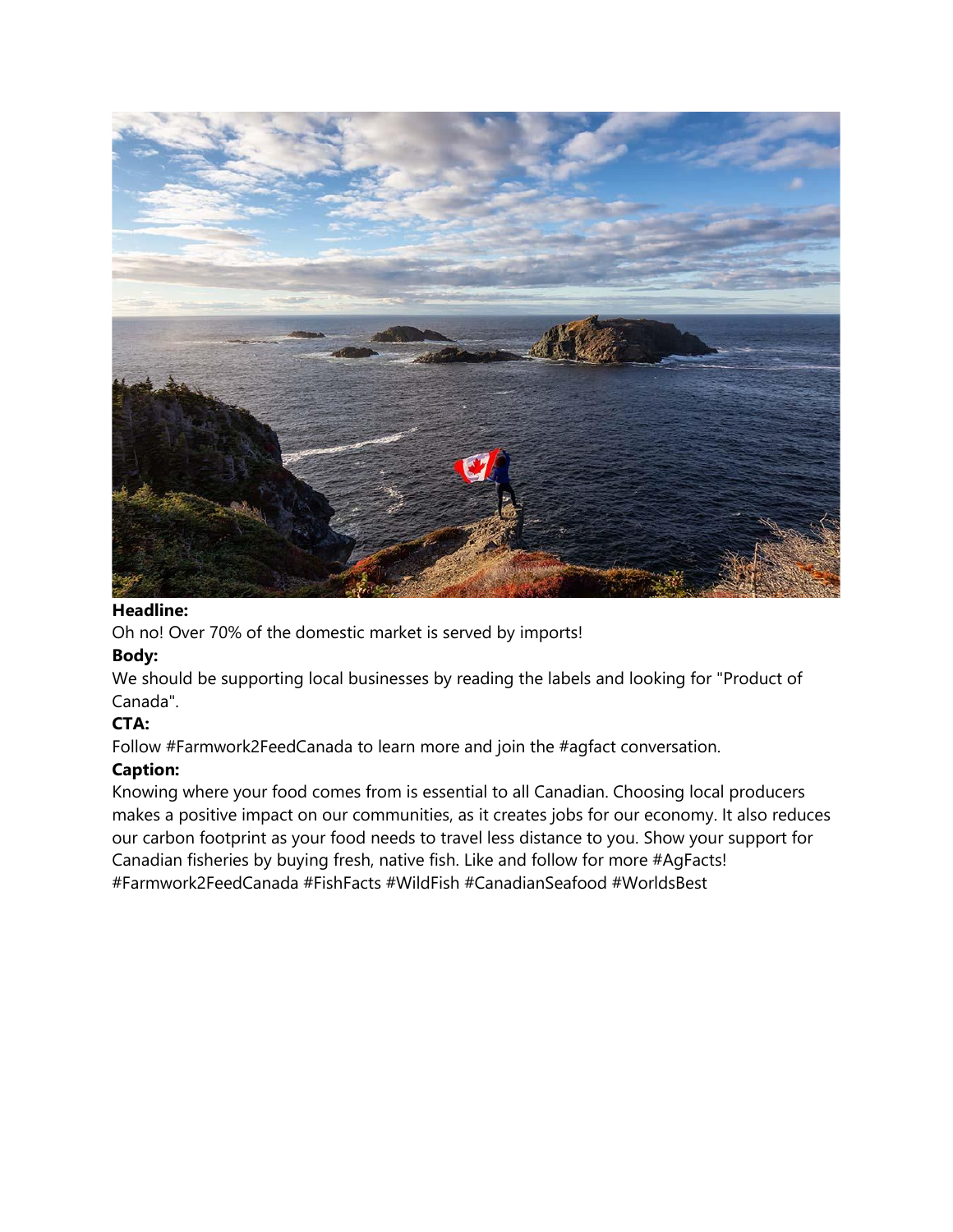

Oh no! Over 70% of the domestic market is served by imports!

### **Body:**

We should be supporting local businesses by reading the labels and looking for "Product of Canada".

### **CTA:**

Follow #Farmwork2FeedCanada to learn more and join the #agfact conversation.

### **Caption:**

Knowing where your food comes from is essential to all Canadian. Choosing local producers makes a positive impact on our communities, as it creates jobs for our economy. It also reduces our carbon footprint as your food needs to travel less distance to you. Show your support for Canadian fisheries by buying fresh, native fish. Like and follow for more #AgFacts! #Farmwork2FeedCanada #FishFacts #WildFish #CanadianSeafood #WorldsBest